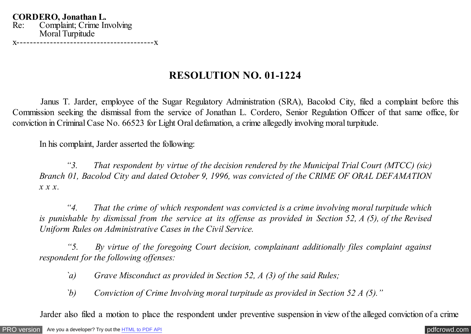**CORDERO, Jonathan L.** Re: Complaint; Crime Involving Moral Turpitude x-----------------------------------------x

## **RESOLUTION NO. 01-1224**

 Janus T. Jarder, employee of the Sugar Regulatory Administration (SRA), Bacolod City, filed a complaint before this Commission seeking the dismissal from the service of Jonathan L. Cordero, Senior Regulation Officer of that same office, for conviction in Criminal Case No. 66523 for Light Oral defamation, a crime allegedly involving moral turpitude.

In his complaint, Jarder asserted the following:

 *"3. That respondent by virtue of the decision rendered by the Municipal Trial Court (MTCC) (sic) Branch 01, Bacolod City and dated October 9, 1996, was convicted of the CRIME OF ORAL DEFAMATION x x x.*

 *"4. That the crime of which respondent was convicted is a crime involving moral turpitude which is punishable by dismissal from the service at its offense as provided in Section 52, A (5), of the Revised Uniform Rules on Administrative Cases in the Civil Service.*

 *"5. By virtue of the foregoing Court decision, complainant additionally files complaint against respondent for the following offenses:*

*`a) Grave Misconduct as provided in Section 52, A (3) of the said Rules;*

*`b) Conviction of Crime Involving moral turpitude as provided in Section 52 A (5)."*

Jarder also filed a motion to place the respondent under preventive suspension in view of the alleged conviction of a crime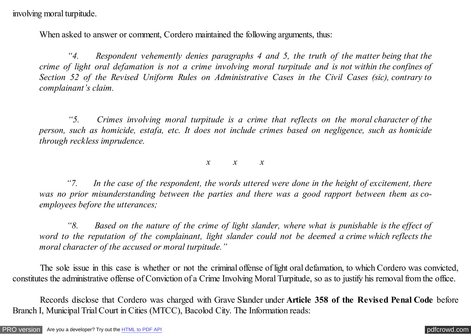involving moral turpitude.

When asked to answer or comment, Cordero maintained the following arguments, thus:

 *"4. Respondent vehemently denies paragraphs 4 and 5, the truth of the matter being that the crime of light oral defamation is not a crime involving moral turpitude and is not within the confines of Section 52 of the Revised Uniform Rules on Administrative Cases in the Civil Cases (sic), contrary to complainant's claim.*

 *"5. Crimes involving moral turpitude is a crime that reflects on the moral character of the person, such as homicide, estafa, etc. It does not include crimes based on negligence, such as homicide through reckless imprudence.*

*x x x*

 *"7. In the case of the respondent, the words uttered were done in the height of excitement, there was no prior misunderstanding between the parties and there was a good rapport between them as coemployees before the utterances;*

 *"8. Based on the nature of the crime of light slander, where what is punishable is the effect of word to the reputation of the complainant, light slander could not be deemed a crime which reflects the moral character of the accused or moral turpitude."*

 The sole issue in this case is whether or not the criminal offense of light oral defamation, to which Cordero was convicted, constitutes the administrative offense of Conviction of a Crime Involving Moral Turpitude, so as to justify his removal from the office.

 Records disclose that Cordero was charged with Grave Slander under **Article 358 of the Revised Penal Code** before Branch I, Municipal Trial Court in Cities (MTCC), Bacolod City. The Information reads: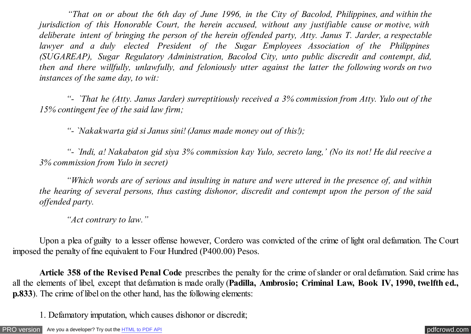*"That on or about the 6th day of June 1996, in the City of Bacolod, Philippines, and within the jurisdiction of this Honorable Court, the herein accused, without any justifiable cause or motive, with deliberate intent of bringing the person of the herein offended party, Atty. Janus T. Jarder, a respectable lawyer and a duly elected President of the Sugar Employees Association of the Philippines (SUGAREAP), Sugar Regulatory Administration, Bacolod City, unto public discredit and contempt, did, then and there willfully, unlawfully, and feloniously utter against the latter the following words on two instances of the same day, to wit:*

*"- `That he (Atty. Janus Jarder) surreptitiously received a 3% commission from Atty. Yulo out of the 15% contingent fee of the said law firm;*

 *"- `Nakakwarta gid si Janus sini! (Janus made money out of this!);*

 *"- `Indi, a! Nakabaton gid siya 3% commission kay Yulo, secreto lang,' (No its not! He did reecive a 3% commission from Yulo in secret)*

 *"Which words are of serious and insulting in nature and were uttered in the presence of, and within the hearing of several persons, thus casting dishonor, discredit and contempt upon the person of the said offended party.*

 *"Act contrary to law."*

 Upon a plea of guilty to a lesser offense however, Cordero was convicted of the crime of light oral defamation. The Court imposed the penalty of fine equivalent to Four Hundred (P400.00) Pesos.

 **Article 358 of the Revised Penal Code** prescribes the penalty for the crime of slander or oral defamation. Said crime has all the elements of libel, except that defamation is made orally (**Padilla, Ambrosio; Criminal Law, Book IV, 1990, twelfth ed., p.833**). The crime of libel on the other hand, has the following elements:

1. Defamatory imputation, which causes dishonor or discredit;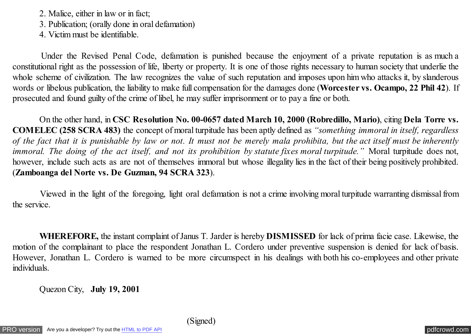2. Malice, either in law or in fact;

3. Publication; (orally done in oral defamation)

4. Victim must be identifiable.

 Under the Revised Penal Code, defamation is punished because the enjoyment of a private reputation is as much a constitutional right as the possession of life, liberty or property. It is one of those rights necessary to human society that underlie the whole scheme of civilization. The law recognizes the value of such reputation and imposes upon him who attacks it, by slanderous words or libelous publication, the liability to make full compensation for the damages done (**Worcester vs. Ocampo, 22 Phil 42**). If prosecuted and found guilty of the crime of libel, he may suffer imprisonment or to pay a fine or both.

 On the other hand, in **CSC Resolution No. 00-0657 dated March 10, 2000 (Robredillo, Mario)**, citing **Dela Torre vs. COMELEC (258 SCRA 483)** the concept of moral turpitude has been aptly defined as *"something immoral in itself, regardless of the fact that it is punishable by law or not. It must not be merely mala prohibita, but the act itself must be inherently immoral. The doing of the act itself, and not its prohibition by statute fixes moral turpitude."* Moral turpitude does not, however, include such acts as are not of themselves immoral but whose illegality lies in the fact of their being positively prohibited. (**Zamboanga del Norte vs. De Guzman, 94 SCRA 323**).

 Viewed in the light of the foregoing, light oral defamation is not a crime involving moral turpitude warranting dismissal from the service.

 **WHEREFORE,** the instant complaint of Janus T. Jarder is hereby **DISMISSED** for lack of prima facie case. Likewise, the motion of the complainant to place the respondent Jonathan L. Cordero under preventive suspension is denied for lack of basis. However, Jonathan L. Cordero is warned to be more circumspect in his dealings with both his co-employees and other private individuals.

Quezon City, **July 19, 2001**